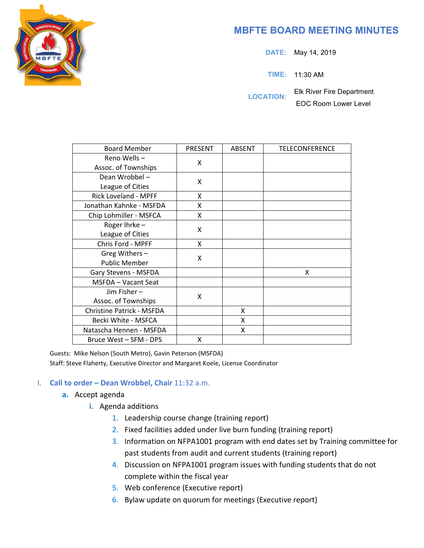

# **MBFTE BOARD MEETING MINUTES**

**DATE:** May 14, 2019

**TIME:** 11:30 AM

**LOCATION:** Elk River Fire Department

EOC Room Lower Level

| <b>Board Member</b>              | <b>PRESENT</b> | ABSENT | <b>TELECONFERENCE</b> |
|----------------------------------|----------------|--------|-----------------------|
| Reno Wells-                      | X              |        |                       |
| Assoc. of Townships              |                |        |                       |
| Dean Wrobbel-                    | X              |        |                       |
| League of Cities                 |                |        |                       |
| Rick Loveland - MPFF             | x              |        |                       |
| Jonathan Kahnke - MSFDA          | x              |        |                       |
| Chip Lohmiller - MSFCA           | Χ              |        |                       |
| Roger Ihrke-                     | Χ              |        |                       |
| League of Cities                 |                |        |                       |
| Chris Ford - MPFF                | Χ              |        |                       |
| Greg Withers-                    | X              |        |                       |
| <b>Public Member</b>             |                |        |                       |
| Gary Stevens - MSFDA             |                |        | X                     |
| <b>MSFDA</b> - Vacant Seat       |                |        |                       |
| Jim Fisher-                      | X              |        |                       |
| Assoc. of Townships              |                |        |                       |
| <b>Christine Patrick - MSFDA</b> |                | X      |                       |
| Becki White - MSFCA              |                | X      |                       |
| Natascha Hennen - MSFDA          |                | x      |                       |
| Bruce West - SFM - DPS           | X              |        |                       |

Guests: Mike Nelson (South Metro), Gavin Peterson (MSFDA) Staff: Steve Flaherty, Executive Director and Margaret Koele, License Coordinator

#### I. **Call to order – Dean Wrobbel, Chair** 11:32 a.m.

- **a.** Accept agenda
	- **i.** Agenda additions
		- 1. Leadership course change (training report)
		- 2. Fixed facilities added under live burn funding (training report)
		- 3. Information on NFPA1001 program with end dates set by Training committee for past students from audit and current students (training report)
		- 4. Discussion on NFPA1001 program issues with funding students that do not complete within the fiscal year
		- 5. Web conference (Executive report)
		- 6. Bylaw update on quorum for meetings (Executive report)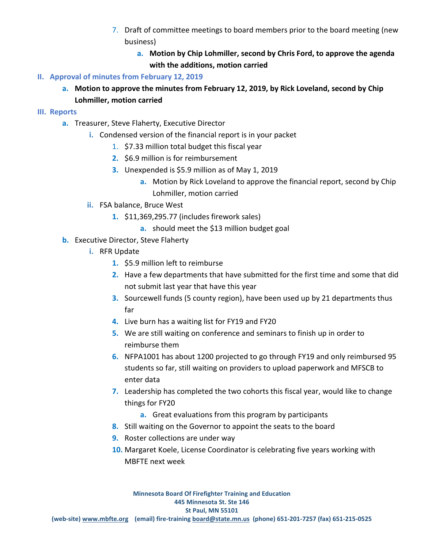- 7. Draft of committee meetings to board members prior to the board meeting (new business)
	- **a. Motion by Chip Lohmiller, second by Chris Ford, to approve the agenda with the additions, motion carried**
- **II. Approval of minutes from February 12, 2019** 
	- **a. Motion to approve the minutes from February 12, 2019, by Rick Loveland, second by Chip Lohmiller, motion carried**
- **III. Reports**
	- **a.** Treasurer, Steve Flaherty, Executive Director
		- **i.** Condensed version of the financial report is in your packet
			- 1. \$7.33 million total budget this fiscal year
			- **2.** \$6.9 million is for reimbursement
			- **3.** Unexpended is \$5.9 million as of May 1, 2019
				- **a.** Motion by Rick Loveland to approve the financial report, second by Chip Lohmiller, motion carried
		- **ii.** FSA balance, Bruce West
			- **1.** \$11,369,295.77 (includes firework sales)
				- **a.** should meet the \$13 million budget goal
	- **b.** Executive Director, Steve Flaherty
		- **i.** RFR Update
			- **1.** \$5.9 million left to reimburse
			- **2.** Have a few departments that have submitted for the first time and some that did not submit last year that have this year
			- **3.** Sourcewell funds (5 county region), have been used up by 21 departments thus far
			- **4.** Live burn has a waiting list for FY19 and FY20
			- **5.** We are still waiting on conference and seminars to finish up in order to reimburse them
			- **6.** NFPA1001 has about 1200 projected to go through FY19 and only reimbursed 95 students so far, still waiting on providers to upload paperwork and MFSCB to enter data
			- **7.** Leadership has completed the two cohorts this fiscal year, would like to change things for FY20
				- **a.** Great evaluations from this program by participants
			- **8.** Still waiting on the Governor to appoint the seats to the board
			- **9.** Roster collections are under way
			- **10.** Margaret Koele, License Coordinator is celebrating five years working with MBFTE next week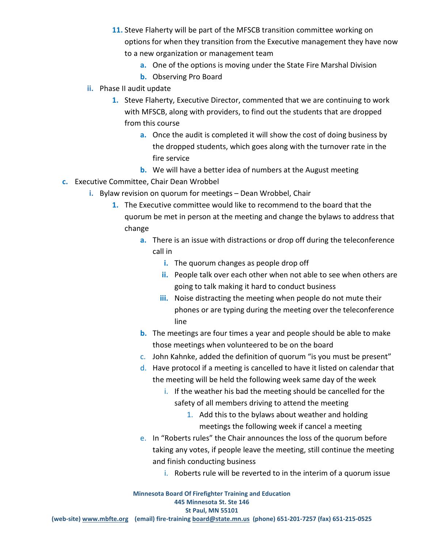- **11.** Steve Flaherty will be part of the MFSCB transition committee working on options for when they transition from the Executive management they have now to a new organization or management team
	- **a.** One of the options is moving under the State Fire Marshal Division
	- **b.** Observing Pro Board
- **ii.** Phase II audit update
	- **1.** Steve Flaherty, Executive Director, commented that we are continuing to work with MFSCB, along with providers, to find out the students that are dropped from this course
		- **a.** Once the audit is completed it will show the cost of doing business by the dropped students, which goes along with the turnover rate in the fire service
		- **b.** We will have a better idea of numbers at the August meeting
- **c.** Executive Committee, Chair Dean Wrobbel
	- **i.** Bylaw revision on quorum for meetings Dean Wrobbel, Chair
		- **1.** The Executive committee would like to recommend to the board that the quorum be met in person at the meeting and change the bylaws to address that change
			- **a.** There is an issue with distractions or drop off during the teleconference call in
				- **i.** The quorum changes as people drop off
				- **ii.** People talk over each other when not able to see when others are going to talk making it hard to conduct business
				- **iii.** Noise distracting the meeting when people do not mute their phones or are typing during the meeting over the teleconference line
			- **b.** The meetings are four times a year and people should be able to make those meetings when volunteered to be on the board
			- c. John Kahnke, added the definition of quorum "is you must be present"
			- d. Have protocol if a meeting is cancelled to have it listed on calendar that the meeting will be held the following week same day of the week
				- i. If the weather his bad the meeting should be cancelled for the safety of all members driving to attend the meeting
					- 1. Add this to the bylaws about weather and holding meetings the following week if cancel a meeting
			- e. In "Roberts rules" the Chair announces the loss of the quorum before taking any votes, if people leave the meeting, still continue the meeting and finish conducting business
				- i. Roberts rule will be reverted to in the interim of a quorum issue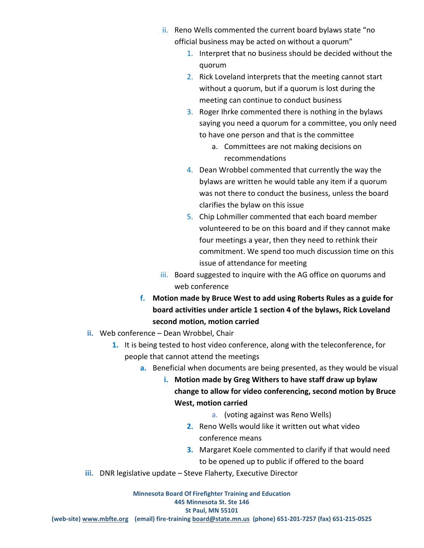- ii. Reno Wells commented the current board bylaws state "no official business may be acted on without a quorum"
	- 1. Interpret that no business should be decided without the quorum
	- 2. Rick Loveland interprets that the meeting cannot start without a quorum, but if a quorum is lost during the meeting can continue to conduct business
	- 3. Roger Ihrke commented there is nothing in the bylaws saying you need a quorum for a committee, you only need to have one person and that is the committee
		- a. Committees are not making decisions on recommendations
	- 4. Dean Wrobbel commented that currently the way the bylaws are written he would table any item if a quorum was not there to conduct the business, unless the board clarifies the bylaw on this issue
	- 5. Chip Lohmiller commented that each board member volunteered to be on this board and if they cannot make four meetings a year, then they need to rethink their commitment. We spend too much discussion time on this issue of attendance for meeting
- iii. Board suggested to inquire with the AG office on quorums and web conference
- **f. Motion made by Bruce West to add using Roberts Rules as a guide for board activities under article 1 section 4 of the bylaws, Rick Loveland second motion, motion carried**
- **ii.** Web conference Dean Wrobbel, Chair
	- **1.** It is being tested to host video conference, along with the teleconference, for people that cannot attend the meetings
		- **a.** Beneficial when documents are being presented, as they would be visual
			- **i. Motion made by Greg Withers to have staff draw up bylaw change to allow for video conferencing, second motion by Bruce West, motion carried** 
				- a. (voting against was Reno Wells)
				- **2.** Reno Wells would like it written out what video conference means
				- **3.** Margaret Koele commented to clarify if that would need to be opened up to public if offered to the board
- **iii.** DNR legislative update Steve Flaherty, Executive Director

**Minnesota Board Of Firefighter Training and Education 445 Minnesota St. Ste 146 St Paul, MN 55101 (web-site) [www.mbfte.org](http://www.mbfte.org/) (email) fire-training [board@state.mn.us](mailto:board@state.mn.us) (phone) 651-201-7257 (fax) 651-215-0525**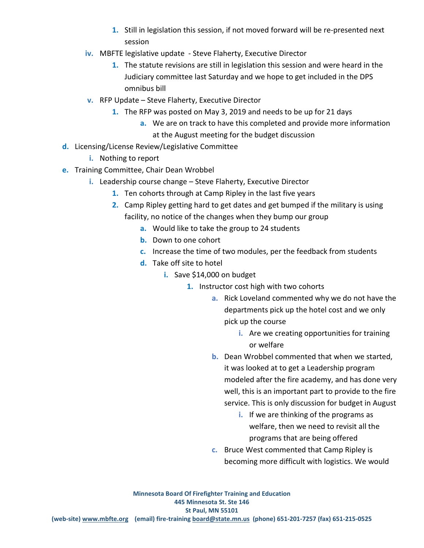- **1.** Still in legislation this session, if not moved forward will be re-presented next session
- **iv.** MBFTE legislative update Steve Flaherty, Executive Director
	- **1.** The statute revisions are still in legislation this session and were heard in the Judiciary committee last Saturday and we hope to get included in the DPS omnibus bill
- **v.** RFP Update Steve Flaherty, Executive Director
	- **1.** The RFP was posted on May 3, 2019 and needs to be up for 21 days
		- **a.** We are on track to have this completed and provide more information at the August meeting for the budget discussion
- **d.** Licensing/License Review/Legislative Committee
	- **i.** Nothing to report
- **e.** Training Committee, Chair Dean Wrobbel
	- **i.** Leadership course change Steve Flaherty, Executive Director
		- **1.** Ten cohorts through at Camp Ripley in the last five years
		- **2.** Camp Ripley getting hard to get dates and get bumped if the military is using facility, no notice of the changes when they bump our group
			- **a.** Would like to take the group to 24 students
			- **b.** Down to one cohort
			- **c.** Increase the time of two modules, per the feedback from students
			- **d.** Take off site to hotel
				- **i.** Save \$14,000 on budget
					- **1.** Instructor cost high with two cohorts
						- **a.** Rick Loveland commented why we do not have the departments pick up the hotel cost and we only pick up the course
							- **i.** Are we creating opportunities for training or welfare
						- **b.** Dean Wrobbel commented that when we started, it was looked at to get a Leadership program modeled after the fire academy, and has done very well, this is an important part to provide to the fire service. This is only discussion for budget in August
							- **i.** If we are thinking of the programs as welfare, then we need to revisit all the programs that are being offered
						- **c.** Bruce West commented that Camp Ripley is becoming more difficult with logistics. We would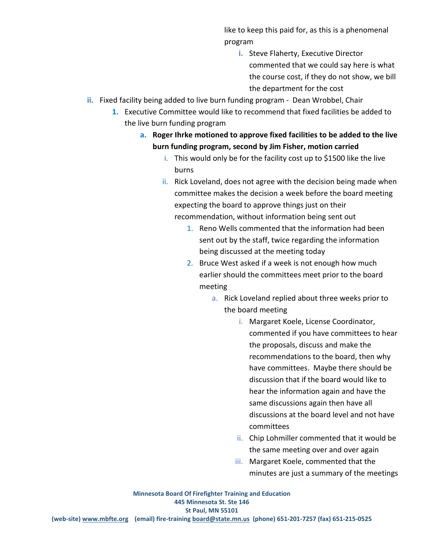like to keep this paid for, as this is a phenomenal program

- **i.** Steve Flaherty, Executive Director commented that we could say here is what the course cost, if they do not show, we bill the department for the cost
- **ii.** Fixed facility being added to live burn funding program Dean Wrobbel, Chair
	- **1.** Executive Committee would like to recommend that fixed facilities be added to the live burn funding program
		- **a. Roger Ihrke motioned to approve fixed facilities to be added to the live burn funding program, second by Jim Fisher, motion carried** 
			- i. This would only be for the facility cost up to \$1500 like the live burns
			- ii. Rick Loveland, does not agree with the decision being made when committee makes the decision a week before the board meeting expecting the board to approve things just on their recommendation, without information being sent out
				- 1. Reno Wells commented that the information had been sent out by the staff, twice regarding the information being discussed at the meeting today
				- 2. Bruce West asked if a week is not enough how much earlier should the committees meet prior to the board meeting
					- a. Rick Loveland replied about three weeks prior to the board meeting
						- i. Margaret Koele, License Coordinator, commented if you have committees to hear the proposals, discuss and make the recommendations to the board, then why have committees. Maybe there should be discussion that if the board would like to hear the information again and have the same discussions again then have all discussions at the board level and not have committees
						- ii. Chip Lohmiller commented that it would be the same meeting over and over again
						- iii. Margaret Koele, commented that the minutes are just a summary of the meetings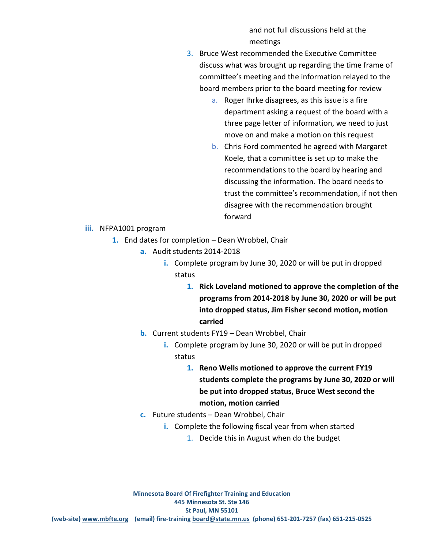and not full discussions held at the meetings

- 3. Bruce West recommended the Executive Committee discuss what was brought up regarding the time frame of committee's meeting and the information relayed to the board members prior to the board meeting for review
	- a. Roger Ihrke disagrees, as this issue is a fire department asking a request of the board with a three page letter of information, we need to just move on and make a motion on this request
	- b. Chris Ford commented he agreed with Margaret Koele, that a committee is set up to make the recommendations to the board by hearing and discussing the information. The board needs to trust the committee's recommendation, if not then disagree with the recommendation brought forward

#### **iii.** NFPA1001 program

- **1.** End dates for completion Dean Wrobbel, Chair
	- **a.** Audit students 2014-2018
		- **i.** Complete program by June 30, 2020 or will be put in dropped status
			- **1. Rick Loveland motioned to approve the completion of the programs from 2014-2018 by June 30, 2020 or will be put into dropped status, Jim Fisher second motion, motion carried**
	- **b.** Current students FY19 Dean Wrobbel, Chair
		- **i.** Complete program by June 30, 2020 or will be put in dropped status
			- **1. Reno Wells motioned to approve the current FY19 students complete the programs by June 30, 2020 or will be put into dropped status, Bruce West second the motion, motion carried**
	- **c.** Future students Dean Wrobbel, Chair
		- **i.** Complete the following fiscal year from when started
			- 1. Decide this in August when do the budget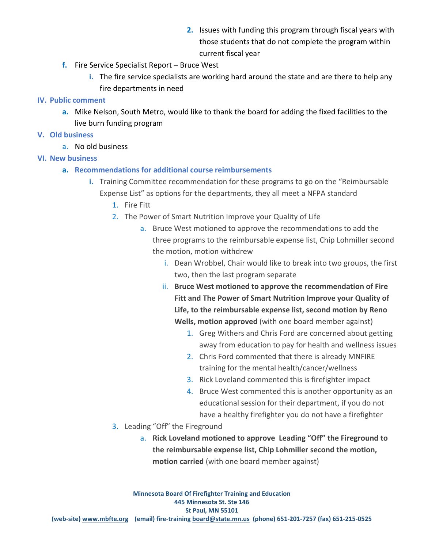- **2.** Issues with funding this program through fiscal years with those students that do not complete the program within current fiscal year
- **f.** Fire Service Specialist Report Bruce West
	- **i.** The fire service specialists are working hard around the state and are there to help any fire departments in need

## **IV. Public comment**

**a.** Mike Nelson, South Metro, would like to thank the board for adding the fixed facilities to the live burn funding program

## **V. Old business**

a. No old business

## **VI. New business**

- **a. Recommendations for additional course reimbursements** 
	- **i.** Training Committee recommendation for these programs to go on the "Reimbursable Expense List" as options for the departments, they all meet a NFPA standard
		- 1. Fire Fitt
		- 2. The Power of Smart Nutrition Improve your Quality of Life
			- a. Bruce West motioned to approve the recommendations to add the three programs to the reimbursable expense list, Chip Lohmiller second the motion, motion withdrew
				- i. Dean Wrobbel, Chair would like to break into two groups, the first two, then the last program separate
				- ii. **Bruce West motioned to approve the recommendation of Fire Fitt and The Power of Smart Nutrition Improve your Quality of Life, to the reimbursable expense list, second motion by Reno Wells, motion approved** (with one board member against)
					- 1. Greg Withers and Chris Ford are concerned about getting away from education to pay for health and wellness issues
					- 2. Chris Ford commented that there is already MNFIRE training for the mental health/cancer/wellness
					- 3. Rick Loveland commented this is firefighter impact
					- 4. Bruce West commented this is another opportunity as an educational session for their department, if you do not have a healthy firefighter you do not have a firefighter
		- 3. Leading "Off" the Fireground
			- a. **Rick Loveland motioned to approve Leading "Off" the Fireground to the reimbursable expense list, Chip Lohmiller second the motion, motion carried** (with one board member against)